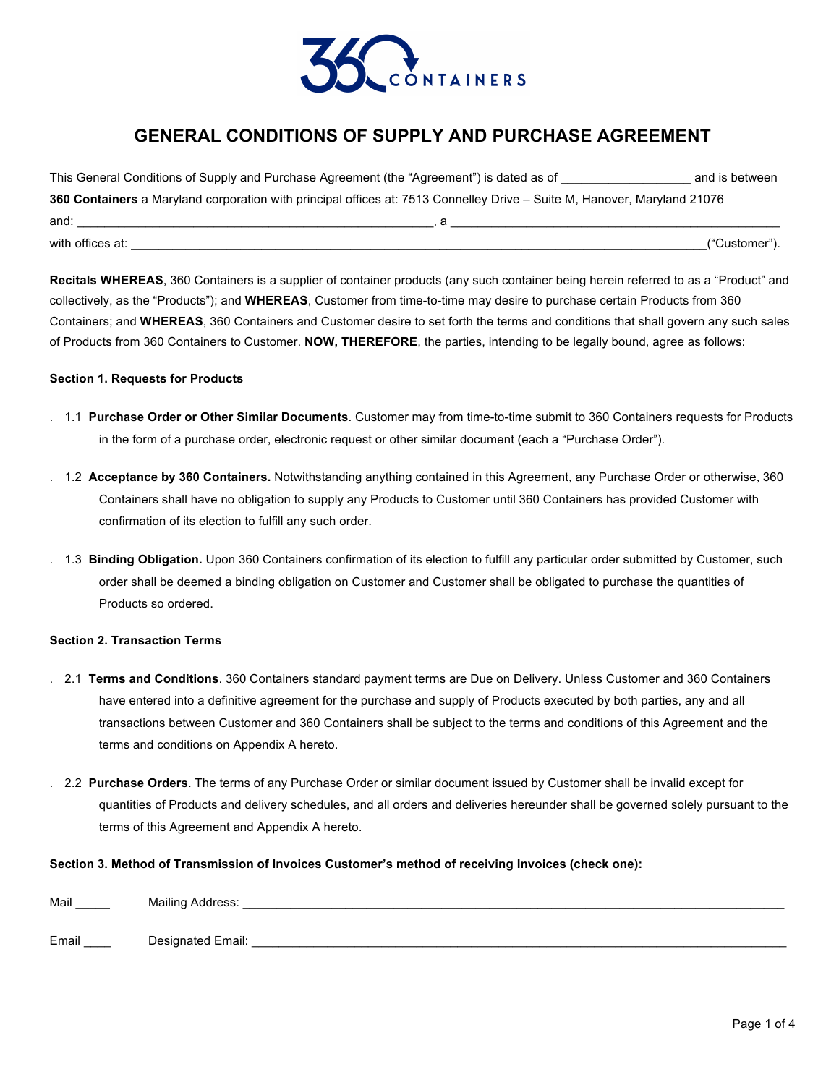

# **GENERAL CONDITIONS OF SUPPLY AND PURCHASE AGREEMENT**

| This General Conditions of Supply and Purchase Agreement (the "Agreement") is dated as of                                |  | and is between |  |  |
|--------------------------------------------------------------------------------------------------------------------------|--|----------------|--|--|
| 360 Containers a Maryland corporation with principal offices at: 7513 Connelley Drive – Suite M, Hanover, Maryland 21076 |  |                |  |  |
| and:                                                                                                                     |  |                |  |  |
| with offices at:                                                                                                         |  | ("Customer").  |  |  |

**Recitals WHEREAS**, 360 Containers is a supplier of container products (any such container being herein referred to as a "Product" and collectively, as the "Products"); and **WHEREAS**, Customer from time-to-time may desire to purchase certain Products from 360 Containers; and **WHEREAS**, 360 Containers and Customer desire to set forth the terms and conditions that shall govern any such sales of Products from 360 Containers to Customer. **NOW, THEREFORE**, the parties, intending to be legally bound, agree as follows:

#### **Section 1. Requests for Products**

- . 1.1 **Purchase Order or Other Similar Documents**. Customer may from time-to-time submit to 360 Containers requests for Products in the form of a purchase order, electronic request or other similar document (each a "Purchase Order").
- . 1.2 **Acceptance by 360 Containers.** Notwithstanding anything contained in this Agreement, any Purchase Order or otherwise, 360 Containers shall have no obligation to supply any Products to Customer until 360 Containers has provided Customer with confirmation of its election to fulfill any such order.
- . 1.3 **Binding Obligation.** Upon 360 Containers confirmation of its election to fulfill any particular order submitted by Customer, such order shall be deemed a binding obligation on Customer and Customer shall be obligated to purchase the quantities of Products so ordered.

### **Section 2. Transaction Terms**

- . 2.1 **Terms and Conditions**. 360 Containers standard payment terms are Due on Delivery. Unless Customer and 360 Containers have entered into a definitive agreement for the purchase and supply of Products executed by both parties, any and all transactions between Customer and 360 Containers shall be subject to the terms and conditions of this Agreement and the terms and conditions on Appendix A hereto.
	- . 2.2 **Purchase Orders**. The terms of any Purchase Order or similar document issued by Customer shall be invalid except for quantities of Products and delivery schedules, and all orders and deliveries hereunder shall be governed solely pursuant to the terms of this Agreement and Appendix A hereto.

#### **Section 3. Method of Transmission of Invoices Customer's method of receiving Invoices (check one):**

| Mail  | Mailing Address:  |
|-------|-------------------|
| Email | Designated Email: |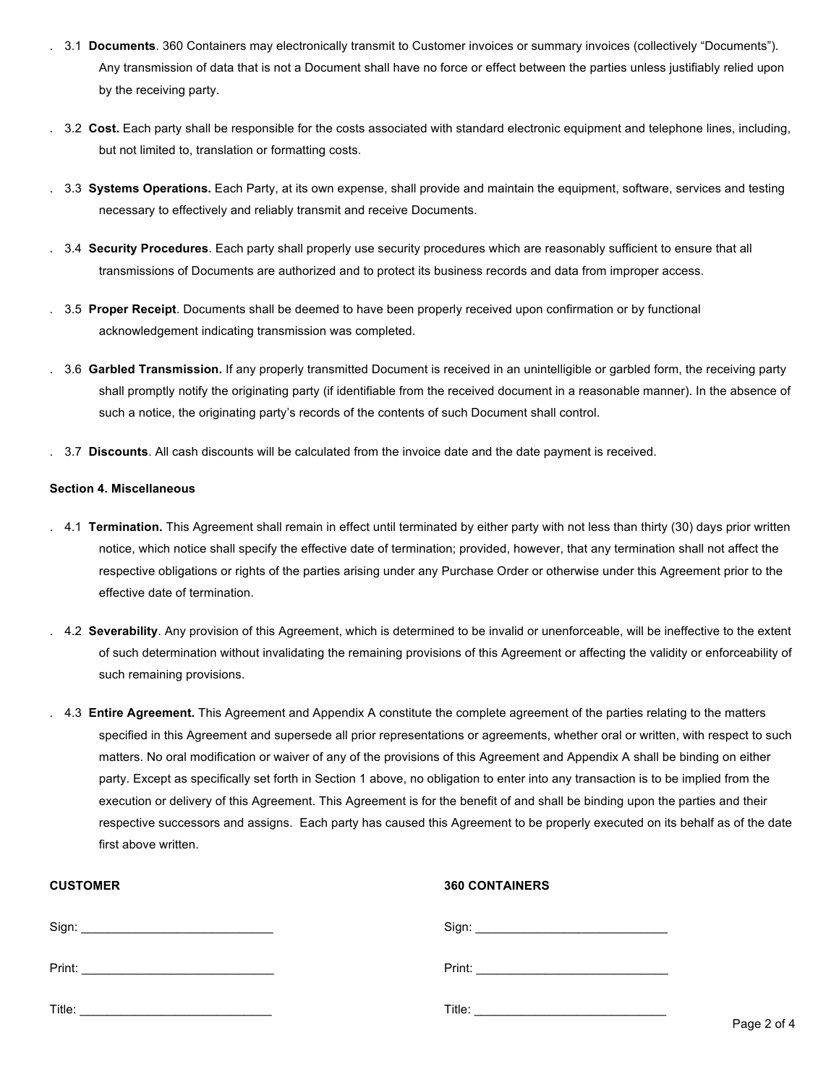- . 3.1 **Documents**. 360 Containers may electronically transmit to Customer invoices or summary invoices (collectively "Documents"). Any transmission of data that is not a Document shall have no force or effect between the parties unless justifiably relied upon by the receiving party.
- . 3.2 **Cost.** Each party shall be responsible for the costs associated with standard electronic equipment and telephone lines, including, but not limited to, translation or formatting costs.
- . 3.3 **Systems Operations.** Each Party, at its own expense, shall provide and maintain the equipment, software, services and testing necessary to effectively and reliably transmit and receive Documents.
- . 3.4 **Security Procedures**. Each party shall properly use security procedures which are reasonably sufficient to ensure that all transmissions of Documents are authorized and to protect its business records and data from improper access.
- . 3.5 **Proper Receipt**. Documents shall be deemed to have been properly received upon confirmation or by functional acknowledgement indicating transmission was completed.
- . 3.6 **Garbled Transmission.** If any properly transmitted Document is received in an unintelligible or garbled form, the receiving party shall promptly notify the originating party (if identifiable from the received document in a reasonable manner). In the absence of such a notice, the originating party's records of the contents of such Document shall control.
- . 3.7 **Discounts**. All cash discounts will be calculated from the invoice date and the date payment is received.

#### **Section 4. Miscellaneous**

- . 4.1 **Termination.** This Agreement shall remain in effect until terminated by either party with not less than thirty (30) days prior written notice, which notice shall specify the effective date of termination; provided, however, that any termination shall not affect the respective obligations or rights of the parties arising under any Purchase Order or otherwise under this Agreement prior to the effective date of termination.
- . 4.2 **Severability**. Any provision of this Agreement, which is determined to be invalid or unenforceable, will be ineffective to the extent of such determination without invalidating the remaining provisions of this Agreement or affecting the validity or enforceability of such remaining provisions.
- . 4.3 **Entire Agreement.** This Agreement and Appendix A constitute the complete agreement of the parties relating to the matters specified in this Agreement and supersede all prior representations or agreements, whether oral or written, with respect to such matters. No oral modification or waiver of any of the provisions of this Agreement and Appendix A shall be binding on either party. Except as specifically set forth in Section 1 above, no obligation to enter into any transaction is to be implied from the execution or delivery of this Agreement. This Agreement is for the benefit of and shall be binding upon the parties and their respective successors and assigns. Each party has caused this Agreement to be properly executed on its behalf as of the date first above written.

| <b>CUSTOMER</b> | <b>360 CONTAINERS</b> |
|-----------------|-----------------------|
|                 |                       |
|                 |                       |
|                 |                       |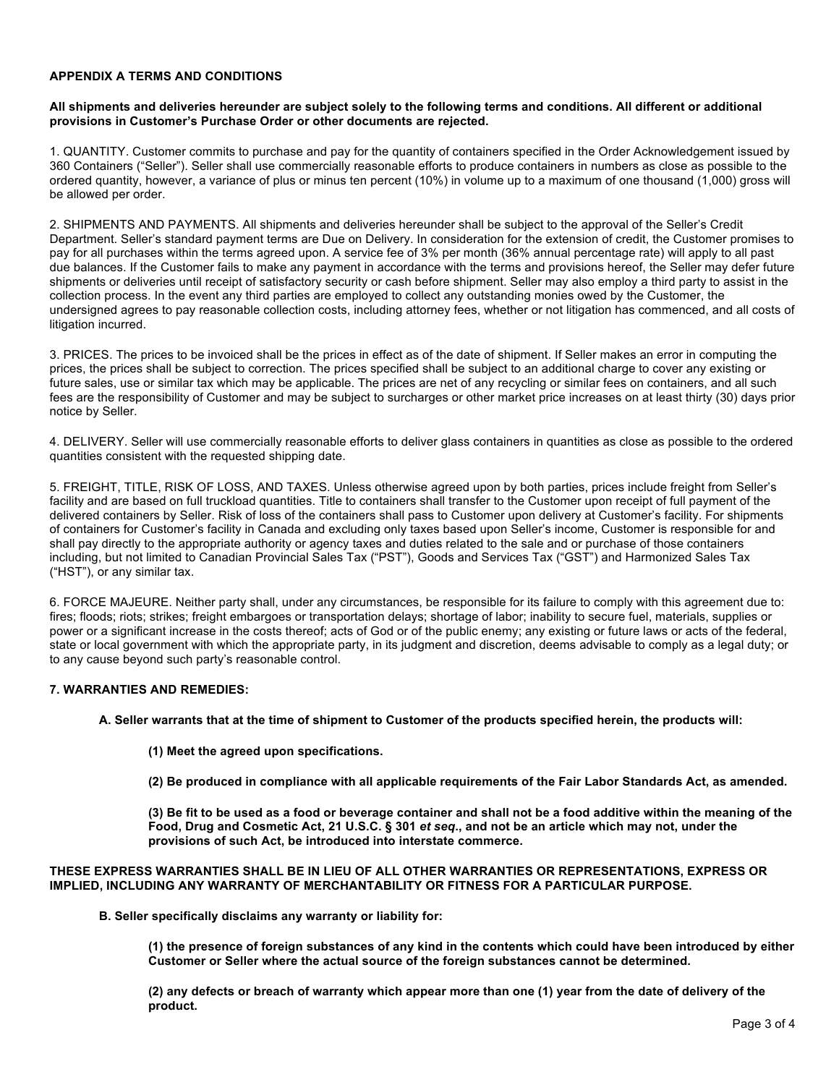## **APPENDIX A TERMS AND CONDITIONS**

#### **All shipments and deliveries hereunder are subject solely to the following terms and conditions. All different or additional provisions in Customer's Purchase Order or other documents are rejected.**

1. QUANTITY. Customer commits to purchase and pay for the quantity of containers specified in the Order Acknowledgement issued by 360 Containers ("Seller"). Seller shall use commercially reasonable efforts to produce containers in numbers as close as possible to the ordered quantity, however, a variance of plus or minus ten percent (10%) in volume up to a maximum of one thousand (1,000) gross will be allowed per order.

2. SHIPMENTS AND PAYMENTS. All shipments and deliveries hereunder shall be subject to the approval of the Seller's Credit Department. Seller's standard payment terms are Due on Delivery. In consideration for the extension of credit, the Customer promises to pay for all purchases within the terms agreed upon. A service fee of 3% per month (36% annual percentage rate) will apply to all past due balances. If the Customer fails to make any payment in accordance with the terms and provisions hereof, the Seller may defer future shipments or deliveries until receipt of satisfactory security or cash before shipment. Seller may also employ a third party to assist in the collection process. In the event any third parties are employed to collect any outstanding monies owed by the Customer, the undersigned agrees to pay reasonable collection costs, including attorney fees, whether or not litigation has commenced, and all costs of litigation incurred.

3. PRICES. The prices to be invoiced shall be the prices in effect as of the date of shipment. If Seller makes an error in computing the prices, the prices shall be subject to correction. The prices specified shall be subject to an additional charge to cover any existing or future sales, use or similar tax which may be applicable. The prices are net of any recycling or similar fees on containers, and all such fees are the responsibility of Customer and may be subject to surcharges or other market price increases on at least thirty (30) days prior notice by Seller.

4. DELIVERY. Seller will use commercially reasonable efforts to deliver glass containers in quantities as close as possible to the ordered quantities consistent with the requested shipping date.

5. FREIGHT, TITLE, RISK OF LOSS, AND TAXES. Unless otherwise agreed upon by both parties, prices include freight from Seller's facility and are based on full truckload quantities. Title to containers shall transfer to the Customer upon receipt of full payment of the delivered containers by Seller. Risk of loss of the containers shall pass to Customer upon delivery at Customer's facility. For shipments of containers for Customer's facility in Canada and excluding only taxes based upon Seller's income, Customer is responsible for and shall pay directly to the appropriate authority or agency taxes and duties related to the sale and or purchase of those containers including, but not limited to Canadian Provincial Sales Tax ("PST"), Goods and Services Tax ("GST") and Harmonized Sales Tax ("HST"), or any similar tax.

6. FORCE MAJEURE. Neither party shall, under any circumstances, be responsible for its failure to comply with this agreement due to: fires; floods; riots; strikes; freight embargoes or transportation delays; shortage of labor; inability to secure fuel, materials, supplies or power or a significant increase in the costs thereof; acts of God or of the public enemy; any existing or future laws or acts of the federal, state or local government with which the appropriate party, in its judgment and discretion, deems advisable to comply as a legal duty; or to any cause beyond such party's reasonable control.

# **7. WARRANTIES AND REMEDIES:**

**A. Seller warrants that at the time of shipment to Customer of the products specified herein, the products will:** 

- **(1) Meet the agreed upon specifications.**
- **(2) Be produced in compliance with all applicable requirements of the Fair Labor Standards Act, as amended.**

**(3) Be fit to be used as a food or beverage container and shall not be a food additive within the meaning of the Food, Drug and Cosmetic Act, 21 U.S.C. § 301** *et seq***., and not be an article which may not, under the provisions of such Act, be introduced into interstate commerce.** 

#### **THESE EXPRESS WARRANTIES SHALL BE IN LIEU OF ALL OTHER WARRANTIES OR REPRESENTATIONS, EXPRESS OR IMPLIED, INCLUDING ANY WARRANTY OF MERCHANTABILITY OR FITNESS FOR A PARTICULAR PURPOSE.**

**B. Seller specifically disclaims any warranty or liability for:** 

**(1) the presence of foreign substances of any kind in the contents which could have been introduced by either Customer or Seller where the actual source of the foreign substances cannot be determined.**

**(2) any defects or breach of warranty which appear more than one (1) year from the date of delivery of the product.**